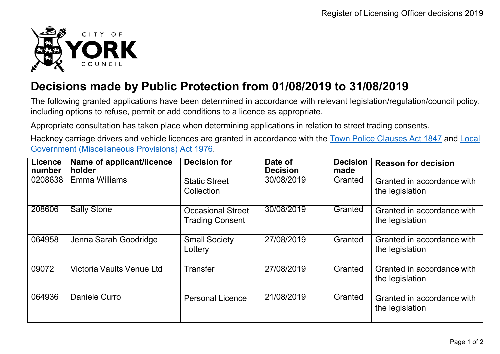

## **Decisions made by Public Protection from 01/08/2019 to 31/08/2019**

The following granted applications have been determined in accordance with relevant legislation/regulation/council policy, including options to refuse, permit or add conditions to a licence as appropriate.

Appropriate consultation has taken place when determining applications in relation to street trading consents.

Hackney carriage drivers and vehicle licences are granted in accordance with the Town Police [Clauses](http://www.legislation.gov.uk/ukpga/Vict/10-11/89) Act 1847 and [Local](http://www.legislation.gov.uk/ukpga/1976/57) [Government \(Miscellaneous Provisions\) Act 1976.](http://www.legislation.gov.uk/ukpga/1976/57)

| <b>Licence</b><br>number | Name of applicant/licence<br>holder | <b>Decision for</b>                                | Date of<br><b>Decision</b> | <b>Decision</b><br>made | <b>Reason for decision</b>                    |
|--------------------------|-------------------------------------|----------------------------------------------------|----------------------------|-------------------------|-----------------------------------------------|
| 0208638                  | <b>Emma Williams</b>                | <b>Static Street</b><br>Collection                 | 30/08/2019                 | Granted                 | Granted in accordance with<br>the legislation |
| 208606                   | <b>Sally Stone</b>                  | <b>Occasional Street</b><br><b>Trading Consent</b> | 30/08/2019                 | Granted                 | Granted in accordance with<br>the legislation |
| 064958                   | Jenna Sarah Goodridge               | <b>Small Society</b><br>Lottery                    | 27/08/2019                 | Granted                 | Granted in accordance with<br>the legislation |
| 09072                    | Victoria Vaults Venue Ltd           | <b>Transfer</b>                                    | 27/08/2019                 | Granted                 | Granted in accordance with<br>the legislation |
| 064936                   | Daniele Curro                       | <b>Personal Licence</b>                            | 21/08/2019                 | Granted                 | Granted in accordance with<br>the legislation |